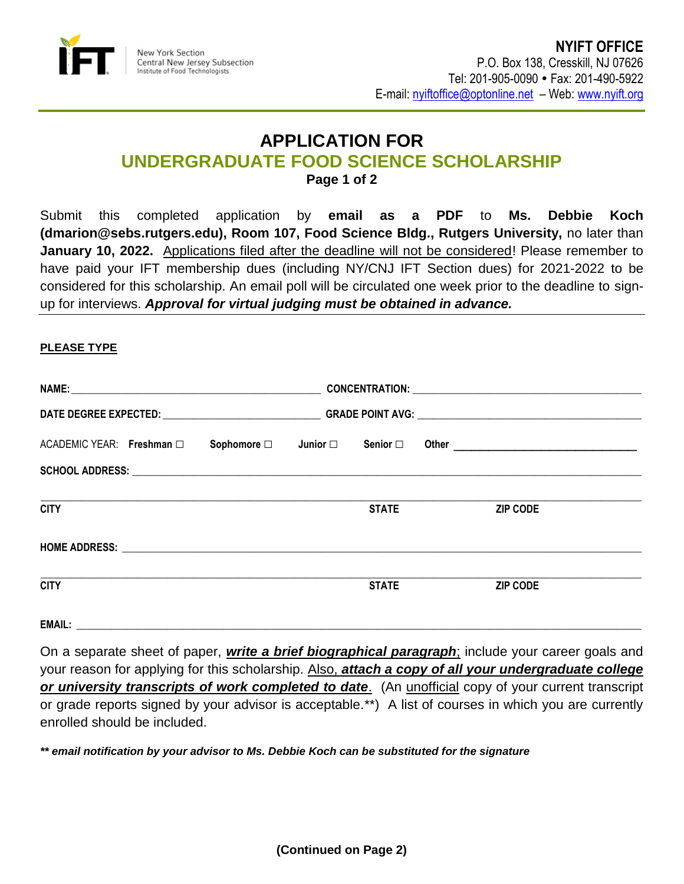

## **APPLICATION FOR UNDERGRADUATE FOOD SCIENCE SCHOLARSHIP Page 1 of 2**

Submit this completed application by **email as a PDF** to **Ms. Debbie Koch (dmarion@sebs.rutgers.edu), Room 107, Food Science Bldg., Rutgers University,** no later than January 10, 2022. Applications filed after the deadline will not be considered! Please remember to have paid your IFT membership dues (including NY/CNJ IFT Section dues) for 2021-2022 to be considered for this scholarship. An email poll will be circulated one week prior to the deadline to signup for interviews. *Approval for virtual judging must be obtained in advance.*

## **PLEASE TYPE**

| ACADEMIC YEAR: Freshman □ |  | Sophomore $\square$ Junior $\square$ Senior $\square$ |  |              |  |                 |  |
|---------------------------|--|-------------------------------------------------------|--|--------------|--|-----------------|--|
|                           |  |                                                       |  |              |  |                 |  |
| <b>CITY</b>               |  |                                                       |  | <b>STATE</b> |  | <b>ZIP CODE</b> |  |
|                           |  |                                                       |  |              |  |                 |  |
| <b>CITY</b>               |  |                                                       |  | <b>STATE</b> |  | <b>ZIP CODE</b> |  |
|                           |  |                                                       |  |              |  |                 |  |

On a separate sheet of paper, *write a brief biographical paragraph*; include your career goals and your reason for applying for this scholarship. Also, *attach a copy of all your undergraduate college or university transcripts of work completed to date*. (An unofficial copy of your current transcript or grade reports signed by your advisor is acceptable.\*\*) A list of courses in which you are currently enrolled should be included.

*\*\* email notification by your advisor to Ms. Debbie Koch can be substituted for the signature*